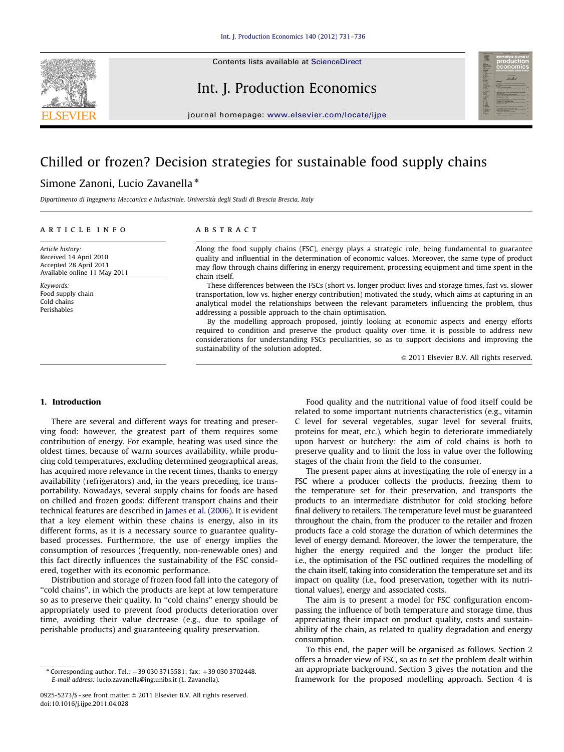

Contents lists available at ScienceDirect

## Int. J. Production Economics



journal homepage: <www.elsevier.com/locate/ijpe>

## Chilled or frozen? Decision strategies for sustainable food supply chains

### Simone Zanoni, Lucio Zavanella\*

Dipartimento di Ingegneria Meccanica e Industriale, Universita degli Studi di Brescia Brescia, Italy -

#### article info

Article history: Received 14 April 2010 Accepted 28 April 2011 Available online 11 May 2011

Keywords: Food supply chain Cold chains Perishables

#### **ABSTRACT**

Along the food supply chains (FSC), energy plays a strategic role, being fundamental to guarantee quality and influential in the determination of economic values. Moreover, the same type of product may flow through chains differing in energy requirement, processing equipment and time spent in the chain itself.

These differences between the FSCs (short vs. longer product lives and storage times, fast vs. slower transportation, low vs. higher energy contribution) motivated the study, which aims at capturing in an analytical model the relationships between the relevant parameters influencing the problem, thus addressing a possible approach to the chain optimisation.

By the modelling approach proposed, jointly looking at economic aspects and energy efforts required to condition and preserve the product quality over time, it is possible to address new considerations for understanding FSCs peculiarities, so as to support decisions and improving the sustainability of the solution adopted.

 $@$  2011 Elsevier B.V. All rights reserved.

#### 1. Introduction

There are several and different ways for treating and preserving food: however, the greatest part of them requires some contribution of energy. For example, heating was used since the oldest times, because of warm sources availability, while producing cold temperatures, excluding determined geographical areas, has acquired more relevance in the recent times, thanks to energy availability (refrigerators) and, in the years preceding, ice transportability. Nowadays, several supply chains for foods are based on chilled and frozen goods: different transport chains and their technical features are described in [James et al. \(2006\).](#page--1-0) It is evident that a key element within these chains is energy, also in its different forms, as it is a necessary source to guarantee qualitybased processes. Furthermore, the use of energy implies the consumption of resources (frequently, non-renewable ones) and this fact directly influences the sustainability of the FSC considered, together with its economic performance.

Distribution and storage of frozen food fall into the category of ''cold chains'', in which the products are kept at low temperature so as to preserve their quality. In ''cold chains'' energy should be appropriately used to prevent food products deterioration over time, avoiding their value decrease (e.g., due to spoilage of perishable products) and guaranteeing quality preservation.

Food quality and the nutritional value of food itself could be related to some important nutrients characteristics (e.g., vitamin C level for several vegetables, sugar level for several fruits, proteins for meat, etc.), which begin to deteriorate immediately upon harvest or butchery: the aim of cold chains is both to preserve quality and to limit the loss in value over the following stages of the chain from the field to the consumer.

The present paper aims at investigating the role of energy in a FSC where a producer collects the products, freezing them to the temperature set for their preservation, and transports the products to an intermediate distributor for cold stocking before final delivery to retailers. The temperature level must be guaranteed throughout the chain, from the producer to the retailer and frozen products face a cold storage the duration of which determines the level of energy demand. Moreover, the lower the temperature, the higher the energy required and the longer the product life: i.e., the optimisation of the FSC outlined requires the modelling of the chain itself, taking into consideration the temperature set and its impact on quality (i.e., food preservation, together with its nutritional values), energy and associated costs.

The aim is to present a model for FSC configuration encompassing the influence of both temperature and storage time, thus appreciating their impact on product quality, costs and sustainability of the chain, as related to quality degradation and energy consumption.

To this end, the paper will be organised as follows. Section 2 offers a broader view of FSC, so as to set the problem dealt within an appropriate background. Section 3 gives the notation and the framework for the proposed modelling approach. Section 4 is

 $*$  Corresponding author. Tel.:  $+39\,030\,3715581$ ; fax:  $+39\,030\,3702448$ . E-mail address: [lucio.zavanella@ing.unibs.it \(L. Zavanella\)](mailto:lucio.zavanella@ing.unibs.it).

<sup>0925-5273/\$ -</sup> see front matter @ 2011 Elsevier B.V. All rights reserved. doi:[10.1016/j.ijpe.2011.04.028](dx.doi.org/10.1016/j.ijpe.2011.04.028)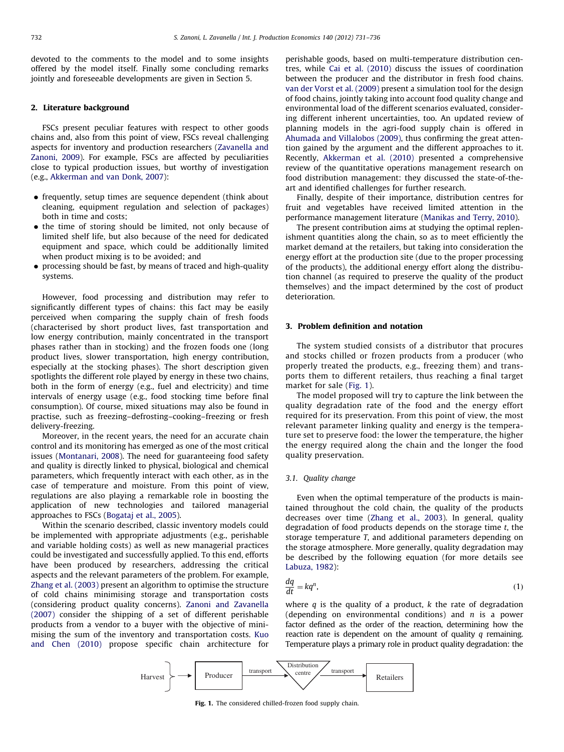devoted to the comments to the model and to some insights offered by the model itself. Finally some concluding remarks jointly and foreseeable developments are given in Section 5.

#### 2. Literature background

FSCs present peculiar features with respect to other goods chains and, also from this point of view, FSCs reveal challenging aspects for inventory and production researchers [\(Zavanella and](#page--1-0) [Zanoni, 2009](#page--1-0)). For example, FSCs are affected by peculiarities close to typical production issues, but worthy of investigation (e.g., [Akkerman and van Donk, 2007\)](#page--1-0):

- frequently, setup times are sequence dependent (think about cleaning, equipment regulation and selection of packages) both in time and costs;
- the time of storing should be limited, not only because of limited shelf life, but also because of the need for dedicated equipment and space, which could be additionally limited when product mixing is to be avoided; and
- processing should be fast, by means of traced and high-quality systems.

However, food processing and distribution may refer to significantly different types of chains: this fact may be easily perceived when comparing the supply chain of fresh foods (characterised by short product lives, fast transportation and low energy contribution, mainly concentrated in the transport phases rather than in stocking) and the frozen foods one (long product lives, slower transportation, high energy contribution, especially at the stocking phases). The short description given spotlights the different role played by energy in these two chains, both in the form of energy (e.g., fuel and electricity) and time intervals of energy usage (e.g., food stocking time before final consumption). Of course, mixed situations may also be found in practise, such as freezing–defrosting–cooking–freezing or fresh delivery-freezing.

Moreover, in the recent years, the need for an accurate chain control and its monitoring has emerged as one of the most critical issues ([Montanari, 2008](#page--1-0)). The need for guaranteeing food safety and quality is directly linked to physical, biological and chemical parameters, which frequently interact with each other, as in the case of temperature and moisture. From this point of view, regulations are also playing a remarkable role in boosting the application of new technologies and tailored managerial approaches to FSCs ([Bogataj et al., 2005\)](#page--1-0).

Within the scenario described, classic inventory models could be implemented with appropriate adjustments (e.g., perishable and variable holding costs) as well as new managerial practices could be investigated and successfully applied. To this end, efforts have been produced by researchers, addressing the critical aspects and the relevant parameters of the problem. For example, [Zhang et al. \(2003\)](#page--1-0) present an algorithm to optimise the structure of cold chains minimising storage and transportation costs (considering product quality concerns). [Zanoni and Zavanella](#page--1-0) [\(2007\)](#page--1-0) consider the shipping of a set of different perishable products from a vendor to a buyer with the objective of minimising the sum of the inventory and transportation costs. [Kuo](#page--1-0) [and Chen \(2010\)](#page--1-0) propose specific chain architecture for perishable goods, based on multi-temperature distribution centres, while [Cai et al. \(2010\)](#page--1-0) discuss the issues of coordination between the producer and the distributor in fresh food chains. [van der Vorst et al. \(2009\)](#page--1-0) present a simulation tool for the design of food chains, jointly taking into account food quality change and environmental load of the different scenarios evaluated, considering different inherent uncertainties, too. An updated review of planning models in the agri-food supply chain is offered in [Ahumada and Villalobos \(2009\),](#page--1-0) thus confirming the great attention gained by the argument and the different approaches to it. Recently, [Akkerman et al. \(2010\)](#page--1-0) presented a comprehensive review of the quantitative operations management research on food distribution management: they discussed the state-of-theart and identified challenges for further research.

Finally, despite of their importance, distribution centres for fruit and vegetables have received limited attention in the performance management literature ([Manikas and Terry, 2010\)](#page--1-0).

The present contribution aims at studying the optimal replenishment quantities along the chain, so as to meet efficiently the market demand at the retailers, but taking into consideration the energy effort at the production site (due to the proper processing of the products), the additional energy effort along the distribution channel (as required to preserve the quality of the product themselves) and the impact determined by the cost of product deterioration.

#### 3. Problem definition and notation

The system studied consists of a distributor that procures and stocks chilled or frozen products from a producer (who properly treated the products, e.g., freezing them) and transports them to different retailers, thus reaching a final target market for sale (Fig. 1).

The model proposed will try to capture the link between the quality degradation rate of the food and the energy effort required for its preservation. From this point of view, the most relevant parameter linking quality and energy is the temperature set to preserve food: the lower the temperature, the higher the energy required along the chain and the longer the food quality preservation.

#### 3.1. Quality change

Even when the optimal temperature of the products is maintained throughout the cold chain, the quality of the products decreases over time ([Zhang et al., 2003\)](#page--1-0). In general, quality degradation of food products depends on the storage time  $t$ , the storage temperature T, and additional parameters depending on the storage atmosphere. More generally, quality degradation may be described by the following equation (for more details see [Labuza, 1982](#page--1-0)):

$$
\frac{dq}{dt} = kq^n,\tag{1}
$$

where  $q$  is the quality of a product,  $k$  the rate of degradation (depending on environmental conditions) and  $n$  is a power factor defined as the order of the reaction, determining how the reaction rate is dependent on the amount of quality  $q$  remaining. Temperature plays a primary role in product quality degradation: the



 $\overline{d}$ 

Fig. 1. The considered chilled-frozen food supply chain.